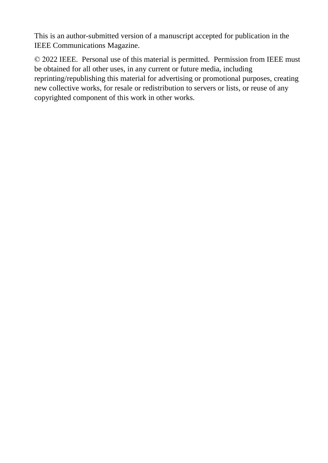This is an author-submitted version of a manuscript accepted for publication in the IEEE Communications Magazine.

© 2022 IEEE. Personal use of this material is permitted. Permission from IEEE must be obtained for all other uses, in any current or future media, including reprinting/republishing this material for advertising or promotional purposes, creating new collective works, for resale or redistribution to servers or lists, or reuse of any copyrighted component of this work in other works.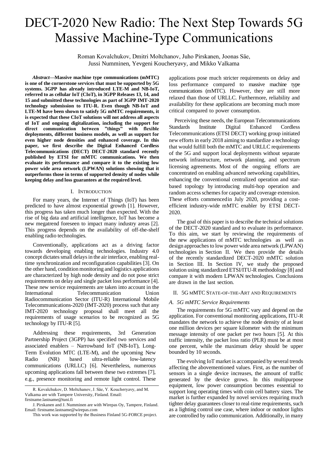# DECT-2020 New Radio: The Next Step Towards 5G Massive Machine-Type Communications

Roman Kovalchukov, Dmitri Moltchanov, Juho Pirskanen, Joonas Säe, Jussi Numminen, Yevgeni Koucheryavy, and Mikko Valkama

*Abstract***—Massive machine type communications (mMTC) is one of the cornerstone services that must be supported by 5G systems. 3GPP has already introduced LTE-M and NB-IoT, referred to as cellular IoT (CIoT), in 3GPP Releases 13, 14, and 15 and submitted these technologies as part of 3GPP IMT-2020 technology submission to ITU-R. Even though NB-IoT and LTE-M have been shown to satisfy 5G mMTC requirements, it is expected that these CIoT solutions will not address all aspects of IoT and ongoing digitalization, including the support for direct communication between "things" with flexible deployments, different business models, as well as support for even higher node densities and enhanced coverage. In this paper, we first describe the Digital Enhanced Cordless Telecommunications (DECT) DECT-2020 standard recently published by ETSI for mMTC communications. We then evaluate its performance and compare it to the existing low power wide area network (LPWAN) solutions showing that it outperforms those in terms of supported density of nodes while keeping delay and loss guarantees at the required level.**

# I. INTRODUCTION

For many years, the Internet of Things (IoT) has been predicted to have almost exponential growth [1]. However, this progress has taken much longer than expected. With the rise of big data and artificial intelligence, IoT has become a new megatrend foreseen to impact many industry areas [2]. This progress depends on the availability of off-the-shelf enabling radio technologies.

Conventionally, applications act as a driving factor towards developing enabling technologies. Industry 4.0 concept dictates small delays in the air interface, enabling realtime synchronization and reconfiguration capabilities [3]. On the other hand, condition monitoring and logistics applications are characterized by high node density and do not pose strict requirements on delay and single packet loss performance [4]. These new service requirements are taken into account in the International Telecommunication Union Radiocommunication Sector (ITU-R) International Mobile Telecommunications-2020 (IMT-2020) process such that any IMT-2020 technology proposal shall meet all the requirements of usage scenarios to be recognized as 5G technology by ITU-R [5].

Addressing these requirements, 3rd Generation Partnership Project (3GPP) has specified two services and associated enablers – Narrowband IoT (NB-IoT), Long-Term Evolution MTC (LTE-M), and the upcoming New Radio (NR) based ultra-reliable low-latency communications (URLLC) [6]. Nevertheless, numerous upcoming applications fall between these two extremes [7], e.g., presence monitoring and remote light control. These

firstname.lastname@tuni.fi

applications pose much stricter requirements on delay and loss performance compared to massive machine type communications (mMTC). However, they are still more relaxed than those of URLLC. Furthermore, reliability and availability for these applications are becoming much more critical compared to power consumption.

Perceiving these needs, the European Telecommunications Standards Institute Digital Enhanced Cordless Telecommunications (ETSI DECT) working group initiated new efforts in early 2018 aiming to standardize a technology that would fulfill both the mMTC and URLLC requirements of the 5G and support local deployments without separate network infrastructure, network planning, and spectrum licensing agreements. Most of the ongoing efforts are concentrated on enabling advanced networking capabilities, enhancing the conventional centralized operation and starbased topology by introducing multi-hop operation and random access schemes for capacity and coverage extension. These efforts commencedin July 2020, providing a costefficient industry-wide mMTC enabler by ETSI DECT-2020.

The goal of this paper is to describe the technical solutions of the DECT-2020 standard and to evaluate its performance. To this aim, we start by reviewing the requirements of the new applications of mMTC technologies as well as design approaches to low power wide area network (LPWAN) technologies in Section II. We then provide the details of the recently standardized DECT-2020 mMTC solution in Section III. In Section IV, we study the proposed solution using standardized ETSI/ITU-R methodology [8] and compare it with modern LPWAN technologies. Conclusions are drawn in the last section.

## II. 5G MMTC STATE-OF-THE-ART AND REQUIREMENTS

### *A. 5G mMTC Service Requirements*

The requirements for 5G mMTC vary and depend on the application. For conventional monitoring applications, ITU-R mandates the network to achieve the node density of at least one million devices per square kilometer with the minimum message intensity of one packet per two hours [5]. At this traffic intensity, the packet loss ratio (PLR) must be at most one percent, while the maximum delay should be upper bounded by 10 seconds.

The evolving IoT market is accompanied by several trends affecting the abovementioned values. First, as the number of sensors in a single device increases, the amount of traffic generated by the device grows. In this multipurpose equipment, low power consumption becomes essential to support long operating times with coin cell battery sizes. The market is further expanded by novel services requiring much tighter delay guarantees closer to real-time requirements, such as a lighting control use case, where indoor or outdoor lights are controlled by radio communication. Additionally, in many

R. Kovalchukov, D. Moltchanov, J. Säe, Y. Koucheryavy, and M. Valkama are with Tampere University, Finland. Email:

J. Pirskanen and J. Numminen are with Wirepas Oy, Tampere, Finland. Email: firstname.lastname@wirepas.com

This work was supported by the Business Finland 5G-FORCE project.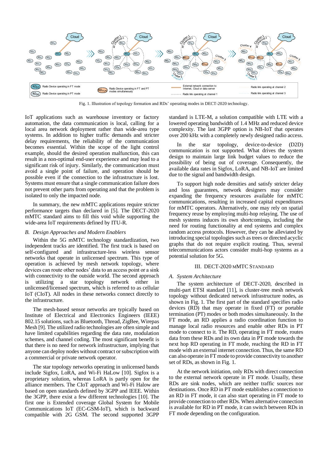

Fig. 1. Illustration of topology formation and RDs' operating modes in DECT-2020 technology.

IoT applications such as warehouse inventory or factory automation, the data communication is local, calling for a local area network deployment rather than wide-area type systems. In addition to higher traffic demands and stricter delay requirements, the reliability of the communication becomes essential. Within the scope of the light control example, should the desired operation malfunction, this can result in a non-optimal end-user experience and may lead to a significant risk of injury. Similarly, the communication must avoid a single point of failure, and operation should be possible even if the connection to the infrastructure is lost. Systems must ensure that a single communication failure does not prevent other parts from operating and that the problem is isolated to only the impacted node.

In summary, the new mMTC applications require stricter performance targets than declared in [5]. The DECT-2020 mMTC standard aims to fill this void while supporting the wide-area IoT requirements defined by ITU-R.

#### *B. Design Approaches and Modern Enablers*

Within the 5G mMTC technology standardization, two independent tracks are identified. The first track is based on self-configured and infrastructure-less wireless sensor networks that operate in unlicensed spectrum. This type of operation is achieved by mesh network topology, where devices can route other nodes' data to an access point or a sink with connectivity to the outside world. The second approach is utilizing a star topology network either in unlicensed/licensed spectrum, which is referred to as cellular IoT (CIoT). All nodes in these networks connect directly to the infrastructure.

The mesh-based sensor networks are typically based on Institute of Electrical and Electronics Engineers (IEEE) 802.15 solutions, such as Bluetooth, Thread, ZigBee, Wirepas Mesh [9]. The utilized radio technologies are often simple and have limited capabilities regarding the data rate, modulation schemes, and channel coding. The most significant benefit is that there is no need for network infrastructure, implying that anyone can deploy nodes without contract or subscription with a commercial or private network operator.

The star topology networks operating in unlicensed bands include Sigfox, LoRA, and Wi-Fi HaLow [10]. Sigfox is a proprietary solution, whereas LoRA is partly open for the alliance members. The CIoT approach and Wi-Fi Halow are based on open standards defined by 3GPP and IEEE. Within the 3GPP, there exist a few different technologies [10]. The first one is Extended coverage Global System for Mobile Communications IoT (EC-GSM-IoT), which is backward compatible with 2G GSM. The second supported 3GPP

standard is LTE-M, a solution compatible with LTE with a lowered operating bandwidth of 1.4 MHz and reduced device complexity. The last 3GPP option is NB-IoT that operates over 200 kHz with a completely newly designed radio access.

In the star topology, device-to-device (D2D) communication is not supported. What drives the system design to maintain large link budget values to reduce the possibility of being out of coverage. Consequently, the available data rates in Sigfox, LoRA, and NB-IoT are limited due to the signal and bandwidth design.

To support high node densities and satisfy stricter delay and loss guarantees, network designers may consider expanding the frequency resources available for mMTC communications, resulting in increased capital expenditures for mMTC operators. Alternatively, one may rely on spatial frequency reuse by employing multi-hop relaying. The use of mesh systems induces its own shortcomings, including the need for routing functionality at end systems and complex random access protocols. However, they can be alleviated by introducing special topologies such as trees or directed acyclic graphs that do not require explicit routing. Thus, several telecommunications actors consider multi-hop systems as a potential solution for 5G.

#### III. DECT-2020 MMTC STANDARD

## *A. System Architecture*

The system architecture of DECT-2020, described in multi-part ETSI standard [11], is cluster-tree mesh network topology without dedicated network infrastructure nodes, as shown in Fig. 1. The first part of the standard specifies radio devices (RD) that may operate in fixed (FT) or portable termination (PT) modes or both modes simultaneously. In the FT mode, an RD applies a radio coordination function to manage local radio resources and enable other RDs in PT mode to connect to it. The RD, operating in FT mode, routes data from these RDs and its own data in PT mode towards the next hop RD operating in FT mode, reaching the RD in FT mode with an external internet connection. Thus, the same RD can also operate in FT mode to provide connectivity to another set of RDs, as shown in Fig. 1.

At the network initiation, only RDs with direct connection to the external network operate in FT mode. Usually, these RDs are sink nodes, which are neither traffic sources nor destinations. Once RD in PT mode establishes a connection to an RD in FT mode, it can also start operating in FT mode to provide connection to other RDs. When alternative connection is available for RD in PT mode, it can switch between RDs in FT mode depending on the configuration.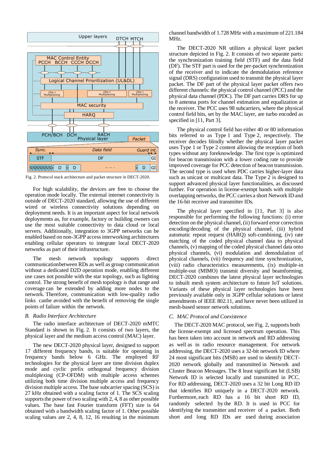

Fig. 2. Protocol stack architecture and packet structure in DECT-2020.

For high scalability, the devices are free to choose the operation mode locally. The external internet connectivity is outside of DECT-2020 standard, allowing the use of different wired or wireless connectivity solutions depending on deployment needs. It is an important aspect for local network deployments as, for example, factory or building owners can use the most suitable connectivity to data cloud or local servers. Additionally, integration to 3GPP networks can be enabled based on non-3GPP access interworking architectures enabling cellular operators to integrate local DECT-2020 networks as part of their infrastructure.

The mesh network topology supports direct communicationbetween RDs as well as group communication without a dedicated D2D operation mode, enabling different use cases not possible with the star topology, such as lighting control. The strong benefit of mesh topology is that range and coverage can be extended by adding more nodes to the network. Therefore, communication with low-quality radio links canbe avoided with the benefit of removing the single points of failure within the network.

### *B. Radio Interface Architecture*

The radio interface architecture of DECT-2020 mMTC Standard is shown in Fig. 2. It consists of two layers, the physical layer and the medium access control (MAC) layer.

The new DECT-2020 physical layer, designed to support 17 different frequency bands, is suitable for operating in frequency bands below 6 GHz. The employed RF technologies for the physical layer are time division duplex mode and cyclic prefix orthogonal frequency division multiplexing (CP-OFDM) with multiple access schemes utilizing both time division multiple access and frequency division multiple access. The base subcarrier spacing (SCS) is 27 kHz obtained with a scaling factor of 1. The SCS scaling supports the power of two scaling with 2, 4, 8 as other possible values. The base fast Fourier transform (FFT) size is 64 obtained with a bandwidth scaling factor of 1. Other possible scaling values are 2, 4, 8, 12, 16 resulting in the minimum

channel bandwidth of 1.728 MHz with a maximum of 221.184 MHz.

The DECT-2020 NR utilizes a physical layer packet structure depicted in Fig. 2. It consists of two separate parts: the synchronization training field (STF) and the data field (DF). The STF part is used for the per-packet synchronization of the receiver and to indicate the demodulation reference signal (DRS) configuration used to transmit the physical layer packet. The DF part of the physical layer packet offers two different channels: the physical control channel (PCC) and the physical data channel (PDC). The DF part carries DRS for up to 8 antenna ports for channel estimation and equalization at the receiver. The PCC uses 98 subcarriers, where the physical control field bits, set by the MAC layer, are turbo encoded as specified in [11, Part 3].

The physical control field has either 40 or 80 information bits referred to as Type 1 and Type 2, respectively. The receiver decodes blindly whether the physical layer packet uses Type 1 or Type 2 content allowing the reception of both types without any foreknowledge. The first type is optimized for beacon transmission with a lower coding rate to provide improved coverage for PCC detection of beacon transmission. The second type is used when PDC carries higher-layer data such as unicast or multicast data. The Type 2 is designed to support advanced physical layer functionalities, as discussed further. For operation in license-exempt bands with multiple overlapping networks, the PCC carries a short Network ID and the 16-bit receiver and transmitter IDs.

The physical layer specified in [11, Part 3] is also responsible for performing the following functions: (i) error detection on the physical channel, (ii) forward error correction encoding/decoding of the physical channel, (iii) hybrid automatic repeat request (HARQ) soft-combining, (iv) rate matching of the coded physical channel data to physical channels, (v) mapping of the coded physical channel data onto physical channels, (vi) modulation and demodulation of physical channels, (vii) frequency and time synchronization, (viii) radio characteristics measurements, (ix) multiple-in multiple-out (MIMO) transmit diversity and beamforming. DECT-2020 combines the latest physical layer technologies to inbuilt mesh system architecture to future IoT solutions. Variants of these physical layer technologies have been previously available only in 3GPP cellular solutions or latest amendments of IEEE 802.11, and have never been utilized in mesh-based sensor network solutions.

## *C. MAC Protocol and Coexistence*

The DECT-2020 MAC protocol, see Fig. 2, supports both the license-exempt and licensed spectrum operation. This has been taken into account in network and RD addressing as well as in radio resource management. For network addressing, the DECT-2020 uses a 32-bit network ID where 24 most significant bits (MSB) are used to identify DECT-2020 network globally and transmitted in Network and Cluster Beacon Messages. The 8 least significant bit (LSB) Network ID is selected locally and transmitted in PCC. For RD addressing, DECT-2020 uses a 32 bit Long RD ID that identifies RD uniquely in a DECT-2020 network. Furthermore, each RD has a 16 bit short RD ID, randomly selected by the RD. It is used in PCC for identifying the transmitter and receiver of a packet. Both short and long RD IDs are used during association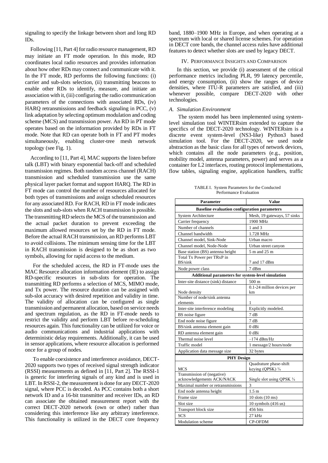signaling to specify the linkage between short and long RD IDs.

Following [11, Part 4] for radio resource management, RD may initiate an FT mode operation. In this mode, RD coordinates local radio resources and provides information about how other RDs may connect and communicate with it. In the FT mode, RD performs the following functions: (i) carrier and sub-slots selection, (ii) transmitting beacons to enable other RDs to identify, measure, and initiate an association with it, (iii) configuring the radio communication parameters of the connections with associated RDs, (iv) HARQ retransmissions and feedback signaling in PCC, (v) link adaptation by selecting optimum modulation and coding scheme (MCS) and transmission power. An RD in PT mode operates based on the information provided by RDs in FT mode. Note that RD can operate both in FT and PT modes simultaneously, enabling cluster-tree mesh network topology (see Fig. 1).

According to [11, Part 4], MAC supports the listen before talk (LBT) with binary exponential back-off and scheduled transmission regimes. Both random access channel (RACH) transmission and scheduled transmission use the same physical layer packet format and support HARQ. The RD in FT mode can control the number of resources allocated for both types of transmissions and assign scheduled resources for any associated RD. For RACH, RD in FT mode indicates the slots and sub-slots when RACH transmission is possible. The transmitting RD selects the MCS of the transmission and the actual packet duration to prevent exceeding the maximum allowed resources set by the RD in FT mode. Before the actual RACH transmission, an RD performs LBT to avoid collisions. The minimum sensing time for the LBT in RACH transmission is designed to be as short as two symbols, allowing for rapid access to the medium.

For the scheduled access, the RD in FT-mode uses the MAC Resource allocation information element (IE) to assign RD-specific resources in sub-slots for operation. The transmitting RD performs a selection of MCS, MIMO mode, and Tx power. The resource duration can be assigned with sub-slot accuracy with desired repetition and validity in time. The validity of allocation can be configured as single transmission and permanent allocation, based on service needs and spectrum regulation, as the RD in FT-mode needs to restrict the validity and perform LBT before re-scheduling resources again. This functionality can be utilized for voice or audio communications and industrial applications with deterministic delay requirements. Additionally, it can be used in sensor applications, where resource allocation is performed once for a group of nodes.

To enable coexistence and interference avoidance, DECT-2020 supports two types of received signal strength indicator (RSSI) measurements as defined in [11, Part 2]. The RSSI-1 is generic for interfering signals of any kind and is used in LBT. In RSSI-2, the measurement is done for any DECT-2020 signal, where PCC is decoded. As PCC contains both a short network ID and a 16-bit transmitter and receiver IDs, an RD can associate the obtained measurement report with the correct DECT-2020 network (own or other) rather than considering this interference like any arbitrary interference. This functionality is utilized in the DECT core frequency

band, 1880–1900 MHz in Europe, and when operating at a spectrum with local or shared license schemes. For operation in DECT core bands, the channel access rules have additional features to detect whether slots are used by legacy DECT.

#### IV. PERFORMANCE INSIGHTS AND COMPARISON

In this section, we provide (i) assessment of the critical performance metrics including PLR, 99 latency percentile, and energy consumption, (ii) show the ranges of device densities, where ITU-R parameters are satisfied, and (iii) whenever possible, compare DECT-2020 with other technologies.

## *A. Simulation Environment*

The system model has been implemented using systemlevel simulation tool WINTERsim extended to capture the specifics of the DECT-2020 technology. WINTERsim is a discrete event system-level (NS3-like) Python3 based simulation tool. For the DECT-2020, we used node abstraction as the basic class for all types of network devices, which contains all the node parameters (e.g., position, mobility model, antenna parameters, power) and serves as a container for L2 interfaces, routing protocol implementations, flow tables, signaling engine, application handlers, traffic

TABLE I. System Parameters for the Conducted Performance Evaluation

| <b>Parameter</b>                                    | <b>Value</b>                |
|-----------------------------------------------------|-----------------------------|
| <b>Baseline evaluation configuration parameters</b> |                             |
| <b>System Architecture</b>                          | Mesh, 19 gateways, 57 sinks |
| Carrier frequency                                   | 1900 MHz                    |
| Number of channels                                  | 1 and 3                     |
| Channel bandwidth                                   | 1.728 MHz                   |
| Channel model, Sink-Node                            | Urban macro                 |
| Channel model, Node-Node                            | Urban street canyon         |
| Base station (BS) antenna height                    | 5 m and 25 m                |
| Total Tx Power per TRxP in                          |                             |
| BS/sink                                             | 7 and 17 dBm                |
| Node power class                                    | 7 dBm                       |
| Additional parameters for system-level simulation   |                             |
| Inter-site distance (sink) distance                 | 500 m                       |
|                                                     | 0.1-24 million devices per  |
| Node density                                        | km                          |
| Number of node/sink antenna<br>elements             | 1                           |
| Inter-site interference modeling                    | Explicitly modeled.         |
| BS noise figure                                     | 7 dB                        |
| End node noise figure                               | 7 dB                        |
| BS/sink antenna element gain                        | $0$ dBi                     |
| RD antenna element gain                             | $0$ dBi                     |
| Thermal noise level                                 | $-174$ dBm/Hz               |
| Traffic model                                       | 1 message/2 hours/node      |
| Application data message size                       | 32 bytes                    |
| <b>PHY Design</b>                                   |                             |
|                                                     | Quadrature phase-shift      |
| <b>MCS</b>                                          | keying (QPSK) 3/4           |
| Transmission of (negative)                          |                             |
| acknowledgements ACK/NACK                           | Single slot using QPSK 3/4  |
| Maximal number or retransmissions                   | 3                           |
| End node antenna height                             | 1.5 <sub>m</sub>            |
| Frame size                                          | $10$ slots $(10$ ms)        |
| Slot size                                           | $10$ symbols (416 us)       |
| Transport block size                                | 456 bits                    |
| <b>SCS</b>                                          | $27$ kHz                    |
| <b>Modulation</b> scheme                            | CP-OFDM                     |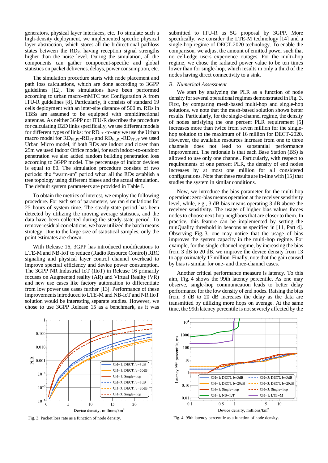generators, physical layer interfaces, etc. To simulate such a high-density deployment, we implemented specific physical layer abstraction, which stores all the bidirectional pathloss states between the RDs, having reception signal strengths higher than the noise level. During the simulation, all the components can gather component-specific and global statistics on packet deliveries, delays, power consumption, etc.

The simulation procedure starts with node placement and path loss calculations, which are done according to 3GPP guidelines [12]. The simulations have been performed according to urban macro-mMTC test Configuration A from ITU-R guidelines [8]. Particularly, it consists of standard 19 cells deployment with an inter-site distance of 500 m. RDs in TBSs are assumed to be equipped with omnidirectional antennas. As neither 3GPP nor ITU-R describes the procedure for calculating D2D links specifically, we use different models for different types of links: for  $RD_{FT}$  -to-any we use the Urban macro model for RDFT,PT-RDPT and RDFT,PT-RDFT,PT we used Urban Micro model, if both RDs are indoor and closer than 25m we used Indoor Office model, for each indoor-to-outdoor penetration we also added random building penetration loss according to 3GPP model. The percentage of indoor devices is equal to 80. The simulation procedure consists of two periods: the "warm-up" period when all the RDs establish a tree topology using different biases and the actual simulation. The default system parameters are provided in Table I.

To obtain the metrics of interest, we employ the following procedure. For each set of parameters, we ran simulations for 25 hours of system time. The steady-state period has been detected by utilizing the moving average statistics, and the data have been collected during the steady-state period. To remove residual correlations, we have utilized the batch means strategy. Due to the large size of statistical samples, only the point estimates are shown.

With Release 16, 3GPP has introduced modifications to LTE-M and NB-IoT to reduce (Radio Resource Control) RRC signaling and physical layer control channel overhead to improve spectral efficiency and device power consumption. The 3GPP NR Industrial IoT (IIoT) in Release 16 primarily focuses on Augmented reality (AR) and Virtual Reality (VR) and new use cases like factory automation to differentiate from low power use cases further [13]. Performance of these improvements introduced to LTE-M and NB-IoT and NR IIoT solution would be interesting separate studies. However, we chose to use 3GPP Release 15 as a benchmark, as it was

0.100 0.010  $\frac{\alpha}{6}$  0.001  $CH=1$ ; DECT,  $b=3dB$ CH=1; DECT, b=20dE  $10$ CH=1; Single-hop  $CH=3$ ; DECT,  $b=3dB$  $10$  $CH=3$ : DECT,  $b=20dF$  $CH=3$ ; Single-hop  $10$  $15$  $\overline{\phantom{a}}$  $10$  $20$ Device density, millions/km<sup>2</sup>

submitted to ITU-R as 5G proposal by 3GPP. More specifically, we consider the LTE-M technology [14] and a single-hop regime of DECT-2020 technology. To enable the comparison, we adjust the amount of emitted power such that no cell-edge users experience outages. For the multi-hop regime, we chose the radiated power value to be ten times lower than for single-hop, which results in only a third of the nodes having direct connectivity to a sink.

## *B. Numerical Assessment*

We start by analyzing the PLR as a function of node density for several operational regimes demonstrated in Fig. 3. First, by comparing mesh-based multi-hop and single-hop solutions, we note that the mesh-based solution shows better results. Particularly, for the single-channel regime, the density of nodes satisfying the one percent PLR requirement [5] increases more than twice from seven million for the singlehop solution to the maximum of 16 million for DECT-2020. However, the available resources increase from one to three channels does not lead to substantial performance improvement. The rationale is that each Base Station (BS) is allowed to use only one channel. Particularly, with respect to requirements of one percent PLR, the density of end nodes increases by at most one million for all considered configurations. Note that these results are in-line with [15] that studies the system in similar conditions.

Now, we introduce the bias parameter for the multi-hop operation: zero-bias means operation at the receiver sensitivity level, while, e.g., 3 dB bias means operating 3 dB above the receiver sensitivity. The usage of higher bias values forces nodes to choose next-hop neighbors that are closer to them. In practice, this feature can be implemented by setting the minQuality threshold in beacons as specified in [11, Part 4]. Observing Fig. 3, one may notice that the usage of bias improves the system capacity in the multi-hop regime. For example, for the single-channel regime, by increasing the bias from 3 dB to 20 dB, we improve the device density from 13 to approximately 17 million. Finally, note that the gain caused by bias is similar for one- and three-channel cases.

Another critical performance measure is latency. To this aim, Fig. 4 shows the 99th latency percentile. As one may observe, single-hop communication leads to better delay performance for the low density of end nodes. Raising the bias from 3 dB to 20 dB increases the delay as the data are transmitted by utilizing more hops on average. At the same time, the 99th latency percentile is not severely affected by the



Fig. 3. Packet loss rate as a function of node density. Fig. 4. 99th latency percentile as a function of node density.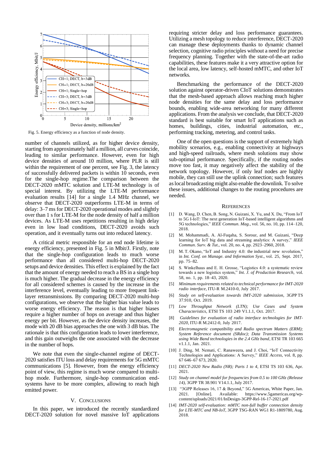

Fig. 5. Energy efficiency as a function of node density.

number of channels utilized, as for higher device density, starting from approximately half a million, all curves coincide, leading to similar performance. However, even for high device densities of around 10 million, where PLR is still within the requirement of one percent, see Fig. 3, the latency of successfully delivered packets is within 10 seconds, even for the single-hop regime.The comparison between the DECT-2020 mMTC solution and LTE-M technology is of special interest. By utilizing the LTE-M performance evaluation results [14] for a single 1.4 MHz channel, we observe that DECT-2020 outperforms LTE-M in terms of delay: 3–7 ms for DECT-2020 operational modes and slightly over than 1 s for LTE-M for the node density of half a million devices. As LTE-M uses repetitions resulting in high delay even in low load conditions, DECT-2020 avoids such operation, and it eventually turns out into reduced latency.

A critical metric responsible for an end node lifetime is energy efficiency, presented in Fig. 5 in Mbit/J. Firstly, note that the single-hop configuration leads to much worse performance than all considered multi-hop DECT-2020 setups and device densities. This effect is explained by the fact that the amount of energy needed to reach a BS in a single hop is much higher. The gradual decrease in the energy efficiency for all considered schemes is caused by the increase in the interference level, eventually leading to more frequent linklayer retransmissions. By comparing DECT-2020 multi-hop configurations, we observe that the higher bias value leads to worse energy efficiency. The reason is that higher biases require a higher number of hops on average and thus higher energy per bit. However, as the device density increases, the mode with 20 dB bias approaches the one with 3 dB bias. The rationale is that this configuration leads to lower interference, and this gain outweighs the one associated with the decrease in the number of hops.

We note that even the single-channel regime of DECT-2020 satisfies ITU loss and delay requirements for 5G mMTC communications [5]. However, from the energy efficiency point of view, this regime is much worse compared to multihop mode. Furthermore, single-hop communication endsystems have to be more complex, allowing to reach high emitted power.

## V. CONCLUSIONS

In this paper, we introduced the recently standardized DECT-2020 solution for novel massive IoT applications requiring stricter delay and loss performance guarantees. Utilizing a mesh topology to reduce interference, DECT-2020 can manage these deployments thanks to dynamic channel selection, cognitive radio principles without a need for precise frequency planning. Together with the state-of-the-art radio capabilities, these features make it a very attractive option for the local area, low latency, self-hosted mMTC, and other IoT networks.

Benchmarking the performance of the DECT-2020 solution against operator-driven CIoT solutions demonstrates that the mesh-based approach allows reaching much higher node densities for the same delay and loss performance bounds, enabling wide-area networking for many different applications. From the analysis we conclude, that DECT-2020 standard is best suitable for smart IoT applications such as homes, buildings, cities, industrial automation, etc., performing tracking, metering, and control tasks.

One of the open questions is the support of extremely high mobility scenarios, e.g., enabling connectivity at highways and high-speed railroads, where mesh solutions may show sub-optimal performance. Specifically, if the routing nodes move too fast, it may negatively affect the stability of the network topology. However, if only leaf nodes are highly mobile, they can still use the uplink connection; such features as local broadcasting might also enable the downlink. To solve these issues, additional changes to the routing procedures are needed.

#### **REFERENCES**

- [1] D. Wang, D. Chen, B. Song, N. Guizani, X. Yu, and X. Du, "From IoT to 5G I-IoT: The next generation IoT-based intelligent algorithms and 5G technologies," *IEEE Commun. Mag.*, vol. 56, no. 10, pp. 114–120, 2018.
- [2] M. Mohammadi, A. Al-Fuqaha, S. Sorour, and M. Guizani, "Deep learning for IoT big data and streaming analytics: A survey," *IEEE Commun. Surv. & Tut.*, vol. 20, no. 4, pp. 2923–2960, 2018.
- M. T. Okano, "IoT and Industry 4.0: the industrial new revolution," in *Int. Conf. on Manage. and Information Syst.*, vol. 25, Sept. 2017, pp. 75–82.
- [4] S. Winkelhaus and E. H. Grosse, "Logistics 4.0: a systematic review towards a new logistics system," *Int. J. of Production Research*, vol. 58, no. 1, pp. 18–43, 2020.
- [5] *Minimum requirements related to technical performance for IMT-2020 radio interface*, ITU-R M.2410-0, July 2017.
- [6] *Study on self-evaluation towards IMT-2020 submission*, 3GPP TS 37.910, Oct. 2019.
- [7] *Low Throughput Network (LTN); Use Cases and System Characteristics*, ETSI TS 103 249 V1.1.1, Oct. 2017.
- [8] *Guidelines for evaluation of radio interface technologies for IMT-2020*, ITU-R M.2412-0, July 2017.
- [9] *Electromagnetic compatibility and Radio spectrum Matters (ERM); System Reference document (SRdoc); Data Transmission Systems using Wide Band technologies in the 2.4 GHz band*, ETSI TR 103 665 v1.1.1, Jan. 2021.
- [10] J. Ding, M. Nemati, C. Ranaweera, and J. Choi, "IoT Connectivity Technologies and Applications: A Survey," *IEEE Access*, vol. 8, pp. 67 646–67 673, 2020.
- [11] *DECT-2020 New Radio (NR); Parts 1 to 4*, ETSI TS 103 636, Apr. 2021.
- [12] *Study on channel model for frequencies from 0.5 to 100 GHz (Release 14)*, 3GPP TR 38.901 V14.1.1, July 2017.
- [13] "3GPP Releases 16, 17 & Beyond," 5G Americas, White Paper, Jan. 2021. [Online]. Available: https://www.5gamericas.org/wpcontent/uploads/2021/01/InDesign-3GPP-Rel-16-17-2021.pdf
- [14] *IMT-2020 self-evaluation: mMTC non-full buffer connection density for LTE-MTC and NB-IoT*, 3GPP TSG-RAN WG1 R1-1809780, Aug. 2018.